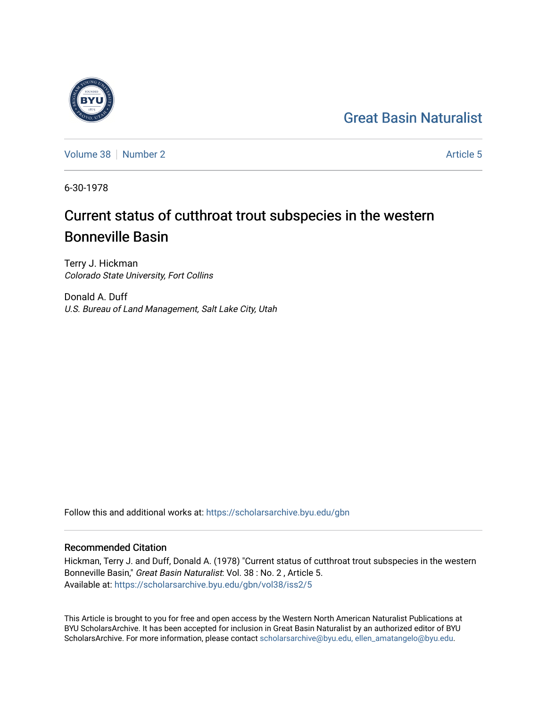## [Great Basin Naturalist](https://scholarsarchive.byu.edu/gbn)

[Volume 38](https://scholarsarchive.byu.edu/gbn/vol38) [Number 2](https://scholarsarchive.byu.edu/gbn/vol38/iss2) [Article 5](https://scholarsarchive.byu.edu/gbn/vol38/iss2/5) Article 5

6-30-1978

# Current status of cutthroat trout subspecies in the western Bonneville Basin

Terry J. Hickman Colorado State University, Fort Collins

Donald A. Duff U.S. Bureau of Land Management, Salt Lake City, Utah

Follow this and additional works at: [https://scholarsarchive.byu.edu/gbn](https://scholarsarchive.byu.edu/gbn?utm_source=scholarsarchive.byu.edu%2Fgbn%2Fvol38%2Fiss2%2F5&utm_medium=PDF&utm_campaign=PDFCoverPages) 

### Recommended Citation

Hickman, Terry J. and Duff, Donald A. (1978) "Current status of cutthroat trout subspecies in the western Bonneville Basin," Great Basin Naturalist: Vol. 38 : No. 2 , Article 5. Available at: [https://scholarsarchive.byu.edu/gbn/vol38/iss2/5](https://scholarsarchive.byu.edu/gbn/vol38/iss2/5?utm_source=scholarsarchive.byu.edu%2Fgbn%2Fvol38%2Fiss2%2F5&utm_medium=PDF&utm_campaign=PDFCoverPages)

This Article is brought to you for free and open access by the Western North American Naturalist Publications at BYU ScholarsArchive. It has been accepted for inclusion in Great Basin Naturalist by an authorized editor of BYU ScholarsArchive. For more information, please contact [scholarsarchive@byu.edu, ellen\\_amatangelo@byu.edu.](mailto:scholarsarchive@byu.edu,%20ellen_amatangelo@byu.edu)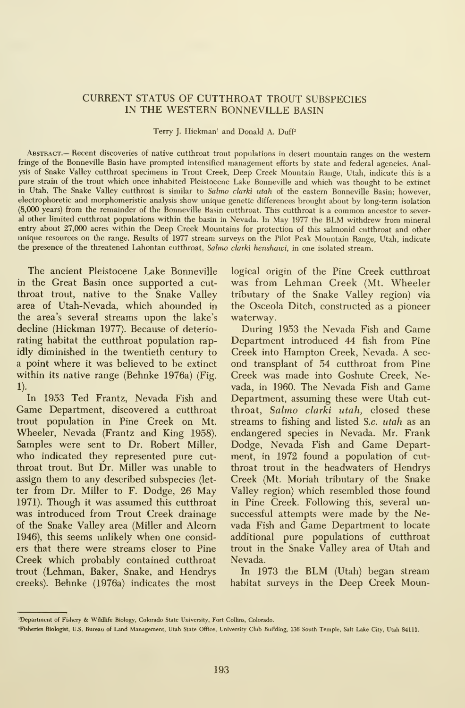#### CURRENT STATUS OF CUTTHROAT TROUT SUBSPECIES IN THE WESTERN BONNEVILLE BASIN

Terry J. Hickman' and Donald A. Duff^

Abstract.— Recent discoveries of native cutthroat trout populations in desert mountain ranges on the western fringe of the Bonneville Basin have prompted intensified management efforts by state and federal agencies. Analysis of Snake Valley cutthroat specimens in Trout Creek, Deep Creek Mountain Range, Utah, indicate this is a pure strain of the trout which once inhabited Pleistocene Lake Bonneville and which was thought to be extinct in Utah. The Snake Valley cutthroat is similar to Salmo clarki utah of the eastern Bonneville Basin; however, electrophoretic and morphomeristic analysis show unique genetic differences brought about by long-term isolation (8,000 years) from the remainder of the Bonneville Basin cutthroat. This cutthroat is <sup>a</sup> common ancestor to several other limited cutthroat populations within the basin in Nevada. In May <sup>1977</sup> the BLM withdrew from mineral entry about 27,000 acres within the Deep Creek Mountains for protection of this salmonid cutthroat and other unique resources on the range. Results of 1977 stream surveys on the Pilot Peak Mountain Range, Utah, indicate the presence of the threatened Lahontan cutthroat, Salmo clarki henshawi, in one isolated stream.

The ancient Pleistocene Lake Bonneville in the Great Basin once supported a cut throat trout, native to the Snake Valley area of Utah-Nevada, which abounded in the area's several streams upon the lake's decline (Hickman 1977). Because of deteriorating habitat the cutthroat population rapidly diminished in the twentieth century to a point where it was believed to be extinct within its native range (Behnke 1976a) (Fig.  $1$ ).

In 1953 Ted Frantz, Nevada Fish and Game Department, discovered <sup>a</sup> cutthroat trout population in Pine Creek on Mt. Wheeler, Nevada (Frantz and King 1958). Samples were sent to Dr. Robert Miller, who indicated they represented pure cut throat trout. But Dr. Miller was unable to assign them to any described subspecies (let ter from Dr. Miller to F. Dodge, 26 May 1971). Though it was assumed this cutthroat was introduced from Trout Creek drainage of the Snake Valley area (Miller and Alcorn 1946), this seems unlikely when one considers that there were streams closer to Pine Creek which probably contained cutthroat trout (Lehman, Baker, Snake, and Hendrys creeks). Behnke (1976a) indicates the most

logical origin of the Pine Creek cutthroat was from Lehman Creek (Mt. Wheeler tributary of the Snake Valley region) via the Osceola Ditch, constructed as a pioneer waterway.

During 1953 the Nevada Fish and Game Department introduced 44 fish from Pine Creek into Hampton Creek, Nevada. A sec ond transplant of 54 cutthroat from Pine Creek was made into Goshute Creek, Nevada, in 1960. The Nevada Fish and Game Department, assuming these were Utah cut throat, Salmo clarki utah, closed these streams to fishing and listed S.c. utah as an endangered species in Nevada. Mr. Frank Dodge, Nevada Fish and Game Department, in 1972 found a population of cut throat trout in the headwaters of Hendrys Creek (Mt. Moriah tributary of the Snake Valley region) which resembled those found in Pine Creek. Following this, several unsuccessful attempts were made by the Nevada Fish and Game Department to locate additional pure populations of cutthroat trout in the Snake Valley area of Utah and Nevada.

In <sup>1973</sup> the BLM (Utah) began stream habitat surveys in the Deep Creek Moun-

<sup>&#</sup>x27; Department of Fishery & Wildlife Biology, Colorado State University, Fort Collins, Colorado.

fisheries Biologist, U.S. Bureau of Land Management, Utah State Office, University Club Building, 136 South Temple, Salt Lake City, Utah 84111.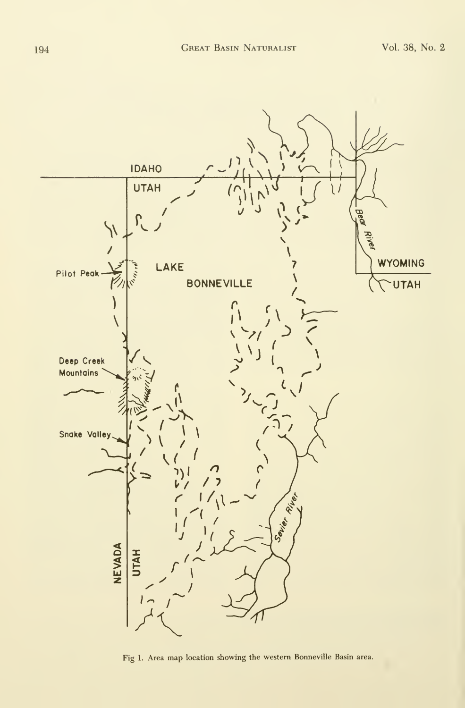

Fig 1. Area map location showing the western Bonneville Basin area.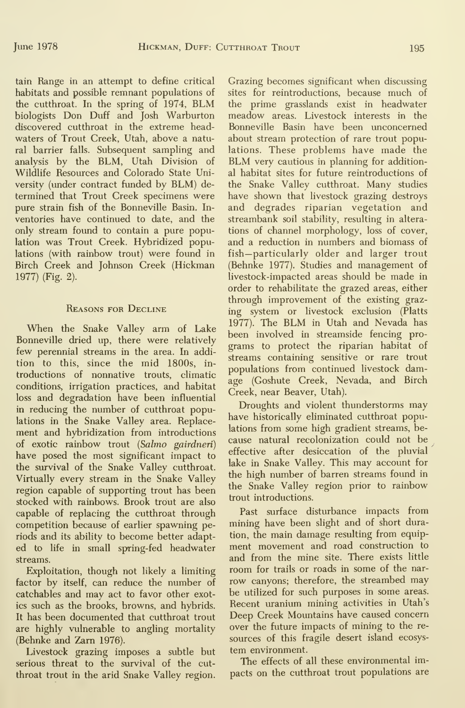tain Range in an attempt to define critical habitats and possible remnant populations of the cutthroat. In the spring of 1974, BLM biologists Don Duff and Josh Warburton discovered cutthroat in the extreme headwaters of Trout Creek, Utah, above a natural barrier falls. Subsequent sampling and analysis by the BLM, Utah Division of Wildlife Resources and Colorado State University (under contract funded by BLM) de termined that Trout Creek specimens were pure strain fish of the Bonneville Basin. In ventories have continued to date, and the only stream found to contain a pure population was Trout Creek. Hybridized populations (with rainbow trout) were found in Birch Creek and Johnson Creek (Hickman 1977) (Fig. 2).

#### Reasons for Decline

When the Snake Valley arm of Lake Bonneville dried up, there were relatively few perennial streams in the area. In addition to this, since the mid 1800s, in troductions of nonnative trouts, climatic conditions, irrigation practices, and habitat loss and degradation have been influential in reducing the number of cutthroat populations in the Snake Valley area. Replacement and hybridization from introductions of exotic rainbow trout (Salmo gairdneri) have posed the most significant impact to the survival of the Snake Valley cutthroat. Virtually every stream in the Snake Valley region capable of supporting trout has been stocked with rainbows. Brook trout are also capable of replacing the cutthroat through competition because of earlier spawning periods and its ability to become better adapted to life in small spring-fed headwater streams.

Exploitation, though not likely a limiting factor by itself, can reduce the number of catchables and may act to favor other exotics such as the brooks, browns, and hybrids. It has been documented that cutthroat trout are highly vulnerable to angling mortality (Behnke and Zam 1976).

Livestock grazing imposes a subtle but serious threat to the survival of the cut throat trout in the arid Snake Valley region. Grazing becomes significant when discussing sites for reintroductions, because much of the prime grasslands exist in headwater meadow areas. Livestock interests in the Bonneville Basin have been unconcerned about stream protection of rare trout populations. These problems have made the BLM very cautious in planning for additional habitat sites for future reintroductions of the Snake Valley cutthroat. Many studies have shown that livestock grazing destroys and degrades riparian vegetation and streambank soil stability, resulting in altera tions of channel morphology, loss of cover, and a reduction in numbers and biomass of fish—particularly older and larger trout (Behnke 1977). Studies and management of livestock-impacted areas should be made in order to rehabilitate the grazed areas, either through improvement of the existing graz ing system or livestock exclusion (Platts 1977). The BLM in Utah and Nevada has been involved in streamside fencing pro grams to protect the riparian habitat of streams containing sensitive or rare trout populations from continued livestock damage (Goshute Creek, Nevada, and Birch Creek, near Beaver, Utah).

Droughts and violent thunderstorms may have historically eliminated cutthroat populations from some high gradient streams, be cause natural recolonization could not be effective after desiccation of the pluvial lake in Snake Valley. This may account for the high number of barren streams found in the Snake Valley region prior to rainbow trout introductions.

Past surface disturbance impacts from mining have been slight and of short duration, the main damage resulting from equipment movement and road construction to and from the mine site. There exists little room for trails or roads in some of the nar row canyons; therefore, the streambed may be utilized for such purposes in some areas. Recent uranium mining activities in Utah's Deep Creek Mountains have caused concern over the future impacts of mining to the re sources of this fragile desert island ecosys tem environment.

The effects of all these environmental impacts on the cutthroat trout populations are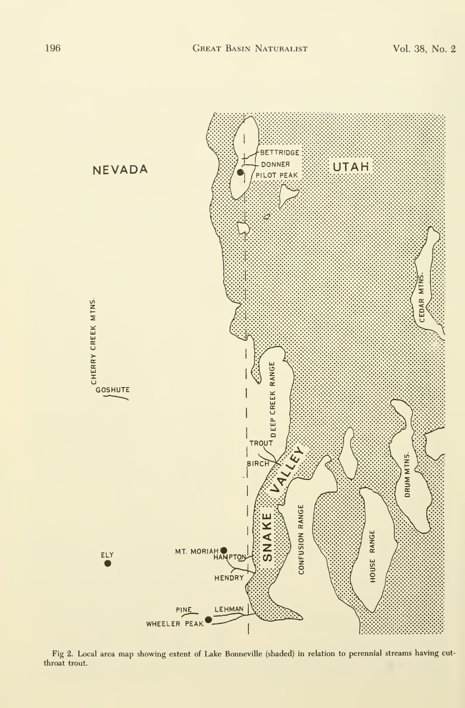

Fig 2. Local area map showing extent of Lake Bonneville (shaded) in relation to perennial streams having cut throat trout.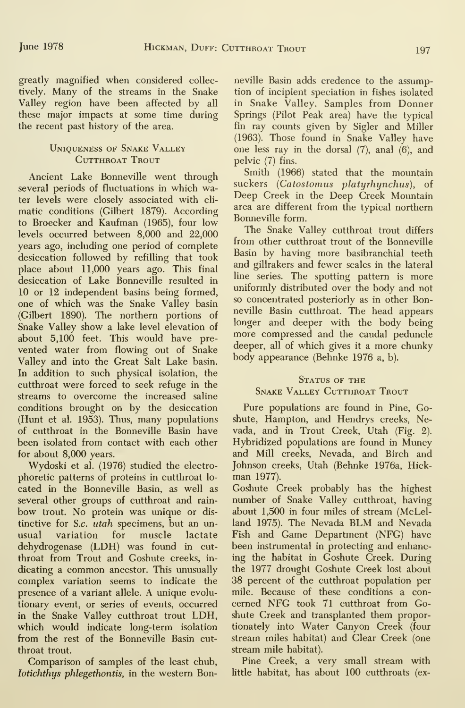greatly magnified when considered collectively. Many of the streams in the Snake Valley region have been affected by all these major impacts at some time during the recent past history of the area.

#### Uniqueness of Snake Valley CUTTHROAT TROUT

Ancient Lake Bonneville went through several periods of fluctuations in which water levels were closely associated with cli matic conditions (Gilbert 1879). According to Broecker and Kaufman (1965), four low levels occurred between 8,000 and 22,000 years ago, including one period of complete desiccation followed by refilling that took place about 11,000 years ago. This final desiccation of Lake Bonneville resulted in 10 or 12 independent basins being formed, one of which was the Snake Valley basin (Gilbert 1890). The northern portions of Snake Valley show a lake level elevation of about 5,100 feet. This would have pre vented water from flowing out of Snake Valley and into the Great Salt Lake basin. In addition to such physical isolation, the cutthroat were forced to seek refuge in the streams to overcome the increased saline conditions brought on by the desiccation (Hunt et al. 1953). Thus, many populations of cutthroat in the Bonneville Basin have been isolated from contact with each other for about 8,000 years.

Wydoski et al. (1976) studied the electro phoretic patterns of proteins in cutthroat lo cated in the Bonneville Basin, as well as several other groups of cutthroat and rain bow trout. No protein was unique or dis tinctive for S.c. utah specimens, but an unusual variation for muscle lactate dehydrogenase (LDH) was found in cut throat from Trout and Goshute creeks, in dicating a common ancestor. This unusually complex variation seems to indicate the presence of <sup>a</sup> variant allele. A unique evolutionary event, or series of events, occurred in the Snake Valley cutthroat trout LDH, which would indicate long-term isolation from the rest of the Bonneville Basin cut throat trout.

Comparison of samples of the least chub, lotichthys phlegethontis, in the western Bon-

neville Basin adds credence to the assumption of incipient speciation in fishes isolated in Snake Valley. Samples from Donner Springs (Pilot Peak area) have the typical fin ray counts given by Sigler and Miller (1963). Those found in Snake Valley have one less ray in the dorsal (7), anal (6), and pelvic (7) fins.

Smith (1966) stated that the mountain suckers (Catostomus platyrhynchus), of Deep Creek in the Deep Creek Mountain area are different from the typical northern Bormeville form.

The Snake Valley cutthroat trout differs from other cutthroat trout of the Bonneville Basin by having more basibranchial teeth and gillrakers and fewer scales in the lateral line series. The spotting pattern is more uniformly distributed over the body and not so concentrated posteriorly as in other Bonneville Basin cutthroat. The head appears longer and deeper with the body being more compressed and the caudal peduncle deeper, all of which gives it a more chunky body appearance (Behnke 1976 a, b).

#### STATUS OF THE SNAKE VALLEY CUTTHROAT TROUT

Pure populations are found in Pine, Goshute, Hampton, and Hendrys creeks, Nevada, and in Trout Creek, Utah (Fig. 2). Hybridized populations are found in Muncy and Mill creeks, Nevada, and Birch and Johnson creeks, Utah (Behnke 1976a, Hick man 1977).

Goshute Creek probably has the highest number of Snake Valley cutthroat, having about 1,500 in four miles of stream (McLelland 1975). The Nevada BLM and Nevada Fish and Game Department (NFG) have been instrumental in protecting and enhancing the habitat in Goshute Creek. During the 1977 drought Goshute Creek lost about 38 percent of the cutthroat population per mile. Because of these conditions a con cerned NFG took <sup>71</sup> cutthroat from Goshute Creek and transplanted them proportionately into Water Canyon Creek (four stream miles habitat) and Clear Creek (one stream mile habitat).

Pine Creek, a very small stream with little habitat, has about 100 cutthroats (ex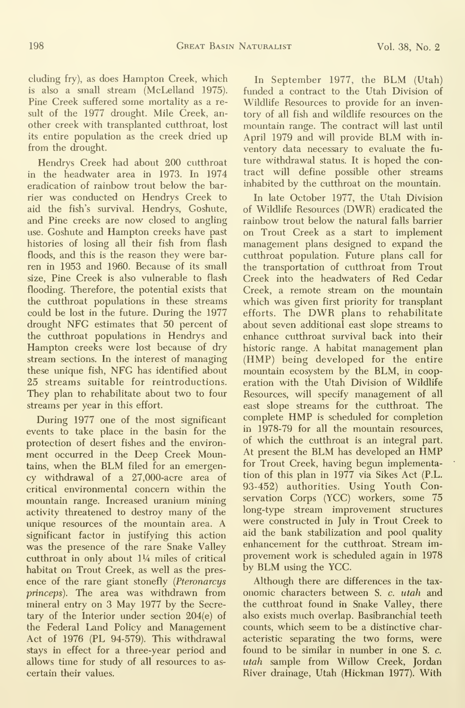eluding fry), as does Hampton Creek, which is also a small stream (McLelland 1975). Pine Creek suffered some mortality as a result of the 1977 drought. Mile Creek, another creek with transplanted cutthroat, lost its entire population as the creek dried up from the drought.

Hendrys Creek had about 200 cutthroat in the headwater area in 1973. In 1974 eradication of rainbow trout below the barrier was conducted on Hendrys Creek to aid the fish's survival. Hendrys, Goshute, and Pine creeks are now closed to angling use. Goshute and Hampton creeks have past histories of losing all their fish from flash floods, and this is the reason they were bar ren in 1953 and 1960. Because of its small size. Pine Creek is also vulnerable to flash flooding. Therefore, the potential exists that the cutthroat populations in these streams could be lost in the future. During the 1977 drought NFG estimates that 50 percent of the cutthroat populations in Hendrys and Hampton creeks were lost because of dry stream sections. In the interest of managing these unique fish, NFG has identified about 25 streams suitable for reintroductions. They plan to rehabilitate about two to four streams per year in this effort.

During 1977 one of the most significant events to take place in the basin for the protection of desert fishes and the environment occurred in the Deep Creek Mountains, when the BLM filed for an emergency withdrawal of a 27,000-acre area of critical environmental concern within the mountain range. Increased uranium mining activity threatened to destroy many of the unique resources of the mountain area. A significant factor in justifying this action was the presence of the rare Snake Valley cutthroat in only about 1V4 miles of critical habitat on Trout Creek, as well as the pres ence of the rare giant stonefly (Pteronarcys princeps). The area was withdrawn from mineral entry on 3 May 1977 by the Secretary of the Interior under section  $204(e)$  of the Federal Land Policy and Management Act of 1976 (PL 94-579). This withdrawal stays in effect for a three-year period and allows time for study of all resources to as certain their values.

In September 1977, the BLM (Utah) funded a contract to the Utah Division of Wildlife Resources to provide for an inventory of all fish and wildlife resources on the mountain range. The contract will last until April <sup>1979</sup> and will provide BLM with in ventory data necessary to evaluate the fu ture withdrawal status. It is hoped the contract will define possible other streams inhabited by the cutthroat on the mountain.

In late October 1977, the Utah Division of Wildlife Resources (DWR) eradicated the rainbow trout below the natural falls barrier on Trout Creek as a start to implement management plans designed to expand the cutthroat population. Future plans call for the transportation of cutthroat from Trout Creek into the headwaters of Red Cedar Creek, a remote stream on the mountain which was given first priority for transplant efforts. The DWR plans to rehabilitate about seven additional east slope streams to enhance cutthroat survival back into their historic range. A habitat management plan (HMP) being developed for the entire mountain ecosystem by the BLM, in cooperation with the Utah Division of Wildlife Resources, will specify management of all east slope streams for the cutthroat. The complete HMP is scheduled for completion in 1978-79 for all the mountain resources, of which the cutthroat is an integral part. At present the BLM has developed an HMP for Trout Creek, having begun implementation of this plan in 1977 via Sikes Act (P.L. 93-452) authorities. Using Youth Conservation Corps (YCC) workers, some 75 long-type stream improvement structures were constructed in July in Trout Creek to aid the bank stabilization and pool quality enhancement for the cutthroat. Stream improvement work is scheduled again in 1978 by BLM using the YCC.

Although there are differences in the tax onomic characters between S. c. utah and the cutthroat found in Snake Valley, there also exists much overlap. Basibranchial teeth counts, which seem to be a distinctive characteristic separating the two forms, were found to be similar in number in one S. c. utah sample from Willow Creek, Jordan River drainage, Utah (Hickman 1977). With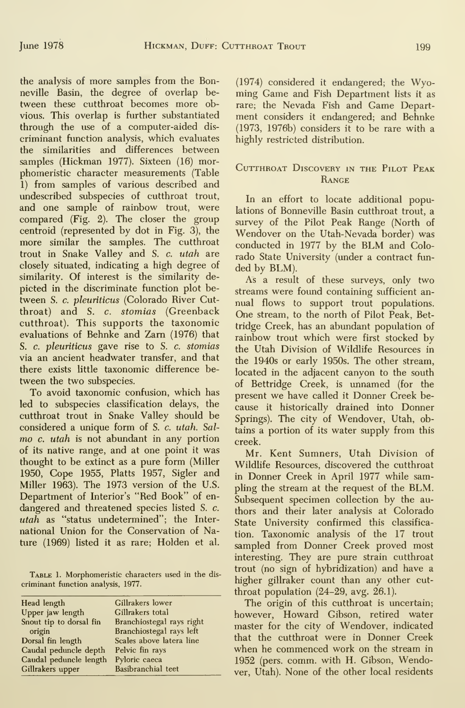the analysis of more samples from the Bonneville Basin, the degree of overlap between these cutthroat becomes more obvious. This overlap is further substantiated through the use of a computer-aided dis criminant function analysis, which evaluates the similarities and differences between samples (Hickman 1977). Sixteen (16) morphomeristic character measurements (Table 1) from samples of various described and undescribed subspecies of cutthroat trout, and one sample of rainbow trout, were compared (Fig. 2). The closer the group centroid (represented by dot in Fig. 3), the more similar the samples. The cutthroat trout in Snake Valley and S. c. utah are closely situated, indicating a high degree of similarity. Of interest is the similarity de picted in the discriminate function plot between S. c. pleuriticus (Colorado River Cutthroat) and S. c. stomias (Greenback cutthroat). This supports the taxonomic evaluations of Behnke and Zam (1976) that S. c. pleuriticus gave rise to S. c. stomias via an ancient headwater transfer, and that there exists little taxonomic difference between the two subspecies.

To avoid taxonomic confusion, which has led to subspecies classification delays, the cutthroat trout in Snake Valley should be considered a unique form of S. c. utah. Salmo c. utah is not abundant in any portion of its native range, and at one point it was thought to be extinct as a pure form (Miller 1950, Cope 1955, Platts 1957, Sigler and Miller 1963). The 1973 version of the U.S. Department of Interior's "Red Book" of en dangered and threatened species listed S. c. utah as "status undetermined"; the International Union for the Conservation of Nature (1969) listed it as rare; Holden et al.

TABLE 1. Morphomeristic characters used in the discriminant function analysis, 1977.

| Gillrakers lower          |
|---------------------------|
| Gillrakers total          |
| Branchiostegal rays right |
| Branchiostegal rays left  |
| Scales above latera line  |
| Pelvic fin rays           |
| Pyloric caeca             |
| Basibranchial teet        |
|                           |

(1974) considered it endangered; the Wyoming Game and Fish Department lists it as rare; the Nevada Fish and Game Department considers it endangered; and Behnke (1973, 1976b) considers it to be rare with a highly restricted distribution.

#### CUTTHROAT DISCOVERY IN THE PILOT PEAK **RANGE**

In an effort to locate additional populations of Bonneville Basin cutthroat trout, a survey of the Pilot Peak Range (North of Wendover on the Utah-Nevada border) was conducted in <sup>1977</sup> by the BLM and Colorado State University (under a contract fun ded by BLM).

As a result of these surveys, only two streams were found containing sufficient an nual flows to support trout populations. One stream, to the north of Pilot Peak, Bettridge Creek, has an abundant population of rainbow trout which were first stocked by the Utah Division of Wildlife Resources in the 1940s or early 1950s. The other stream, located in the adjacent canyon to the south of Bettridge Creek, is unnamed (for the present we have called it Donner Creek be cause it historically drained into Donner Springs). The city of Wendover, Utah, obtains a portion of its water supply from this creek.

Mr. Kent Sumners, Utah Division of Wildlife Resources, discovered the cutthroat in Donner Creek in April 1977 while sampling the stream at the request of the BLM. Subsequent specimen collection by the authors and their later analysis at Colorado State University confirmed this classification. Taxonomic analysis of the 17 trout sampled from Donner Creek proved most interesting. They are pure strain cutthroat trout (no sign of hybridization) and have a higher gillraker count than any other cut throat population (24-29, avg. 26.1).

The origin of this cutthroat is uncertain; however, Howard Gibson, retired water master for the city of Wendover, indicated that the cutthroat were in Donner Creek when he commenced work on the stream in 1952 (pers. comm. with H. Gibson, Wendover, Utah). None of the other local residents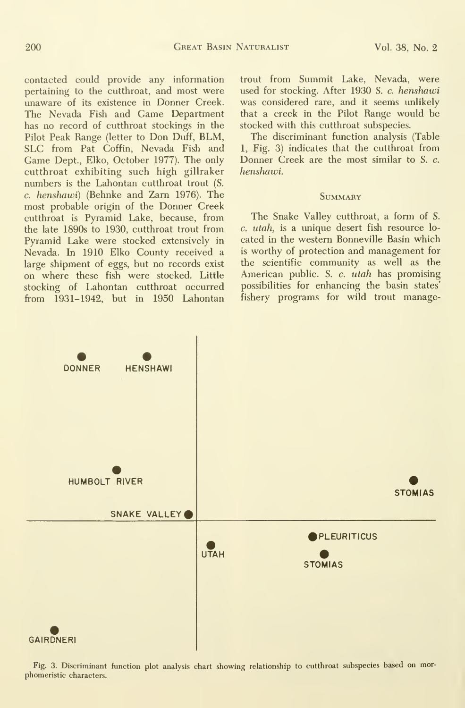contacted could provide any information pertaining to the cutthroat, and most were unaware of its existence in Donner Creek. The Nevada Fish and Game Department has no record of cutthroat stockings in the Pilot Peak Range (letter to Don Duff, BLM, SLC from Pat Coffin, Nevada Fish and Game Dept., Elko, October 1977). The only cutthroat exhibiting such high gillraker numbers is the Lahontan cutthroat trout (S. c. henshawi) (Behnke and Zam 1976). The most probable origin of the Donner Creek cutthroat is Pyramid Lake, because, from the late 1890s to 1930, cutthroat trout from Pyramid Lake were stocked extensively in Nevada. In 1910 Elko County received a large shipment of eggs, but no records exist on where these fish were stocked. Little stocking of Lahontan cutthroat occurred from 1931-1942, but in 1950 Lahontan

trout from Summit Lake, Nevada, were used for stocking. After 1930 S. c. henshawi was considered rare, and it seems unlikely that a creek in the Pilot Range would be stocked with this cutthroat subspecies.

The discriminant function analysis (Table 1, Fig. 3) indicates that the cutthroat from Donner Creek are the most similar to S. c. henshawi.

#### **SUMMARY**

The Snake Valley cutthroat, a form of S.  $c.$   $utah$ , is a unique desert fish resource located in the western Bonneville Basin which is worthy of protection and management for the scientific community as well as the American public. S. c. utah has promising possibilities for enhancing the basin states' fishery programs for wild trout manage-



Fig. 3. Discriminant function plot analysis chart showing relationship to cutthroat subspecies based on morphomeristic characters.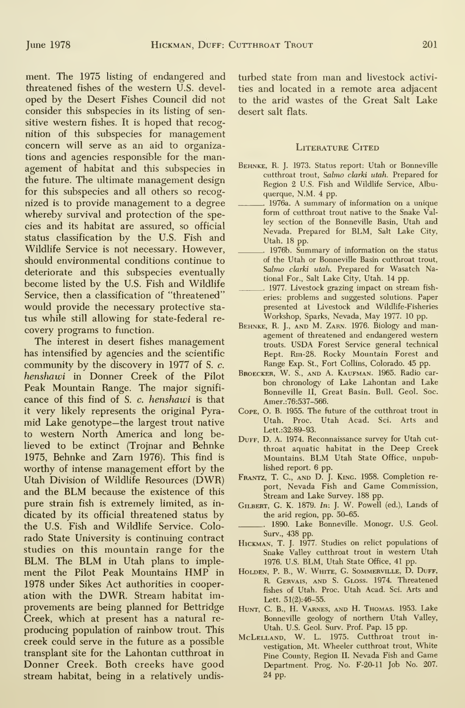ment. The 1975 listing of endangered and threatened fishes of the western U.S. devel oped by the Desert Fishes Council did not consider this subspecies in its listing of sensitive western fishes. It is hoped that recognition of this subspecies for management concern will serve as an aid to organizations and agencies responsible for the management of habitat and this subspecies in the future. The ultimate management design for this subspecies and all others so recog nized is to provide management to a degree whereby survival and protection of the species and its habitat are assured, so official status classification by the U.S. Fish and Wildlife Service is not necessary. However, should environmental conditions continue to deteriorate and this subspecies eventually become listed by the U.S. Fish and Wildlife Service, then a classification of "threatened" would provide the necessary protective sta tus while still allowing for state-federal re covery programs to function.

The interest in desert fishes management has intensified by agencies and the scientific community by the discovery in 1977 of S. c. henshawi in Donner Creek of the Pilot Peak Mountain Range. The major signifi cance of this find of S. c. henshawi is that it very likely represents the original Pyramid Lake genotype—the largest trout native to western North America and long believed to be extinct (Trojnar and Behnke 1975, Behnke and Zam 1976). This find is worthy of intense management effort by the Utah Division of Wildlife Resources (DWR) and the BLM because the existence of this pure strain fish is extremely limited, as in dicated by its official threatened status by the U.S. Fish and Wildlife Service. Colorado State University is continuing contract studies on this mountain range for the BLM. The BLM in Utah plans to implement the Pilot Peak Mountains HMP in 1978 under Sikes Act authorities in cooperation with the DWR. Stream habitat improvements are being planned for Bettridge Creek, which at present has a natural re producing population of rainbow trout. This creek could serve in the future as a possible transplant site for the Lahontan cutthroat in Donner Creek. Both creeks have good stream habitat, being in a relatively undisturbed state from man and livestock activities and located in a remote area adjacent to the arid wastes of the Great Salt Lake desert salt flats.

#### LITERATURE CITED

- Behnke, R. J. 1973. Status report: Utah or Bonneville cutthroat trout, Salmo clarki utah. Prepared for Region 2 U.S. Fish and Wildlife Service, Albuquerque, N.M. 4 pp.
- 1976a. A summary of information on <sup>a</sup> unique form of cutthroat trout native to the Snake Valley section of the Bonneville Basin, Utah and Nevada. Prepared for BLM, Salt Lake City, Utah. 18 pp.
- 1976b. Summary of information on the status of the Utah or Bonneville Basin cutthroat trout, Salmo clarki utah. Prepared for Wasatch National For., Salt Lake City, Utah. 14 pp.
- 1977. Livestock grazing impact on stream fish eries: problems and suggested solutions. Paper presented at Livestock and Wildlife-Fisheries Workshop, Sparks, Nevada, May 1977. <sup>10</sup> pp.
- BEHNKE, R. J., AND M. ZARN. 1976. Biology and management of threatened and endangered western trouts. USDA Forest Service general technical Rept. Rm-28. Rocky Mountain Forest and Range Exp. St., Fort Collins, Colorado. 45 pp.
- BROECKER, W. S., AND A. KAUFMAN. 1965. Radio carbon chronology of Lake Lahontan and Lake Bonneville II, Great Basin. Bull. Geol. Soc. Amer.:76:537-566.
- Cope, O. B. 1955. The future of the cutthroat trout in Utah. Proc. Utah Acad. Sci. Arts and Lett.:32:89-93.
- DUFF, D. A. 1974. Reconnaissance survey for Utah cutthroat aquatic habitat in the Deep Creek Mountains. BLM Utah State Office, unpublished report. 6 pp.
- Frantz, T. C, and D. J. King. 1958. Completion re port, Nevada Fish and Game Commission,
- Stream and Lake Survey. 188 pp.<br>GILBERT, G. K. 1879. In: J. W. Powell (ed.), Lands of the arid region, pp. 50-65.
- 1890. Lake Bonneville. Monogr. U.S. Geol. Surv., 438 pp.
- Hickman, T. J. 1977. Studies on relict populations of Snake Valley cutthroat trout in western Utah 1976. U.S. BLM, Utah State Office, 41 pp.
- Holden, p. B., W. White, G. Sommerville, D. Duff, R. Gervais, and S. Gloss. 1974. Threatened fishes of Utah. Proc. Utah Acad. Sci. Arts and Lett. 51(2):46-55.
- Hunt, C. B., H. Varnes, and H. Thomas. 1953. Lake Bonneville geology of northern Utah Valley, Utah. U.S. Geol. Surv. Prof. Pap. 15 pp.
- McLelland, W. L. 1975. Cutthroat trout in vestigation, Mt. Wheeler cutthroat trout. White Pine County, Region II. Nevada Fish and Game Department. Prog. No. F-20-11 Job No. 207. 24 pp.